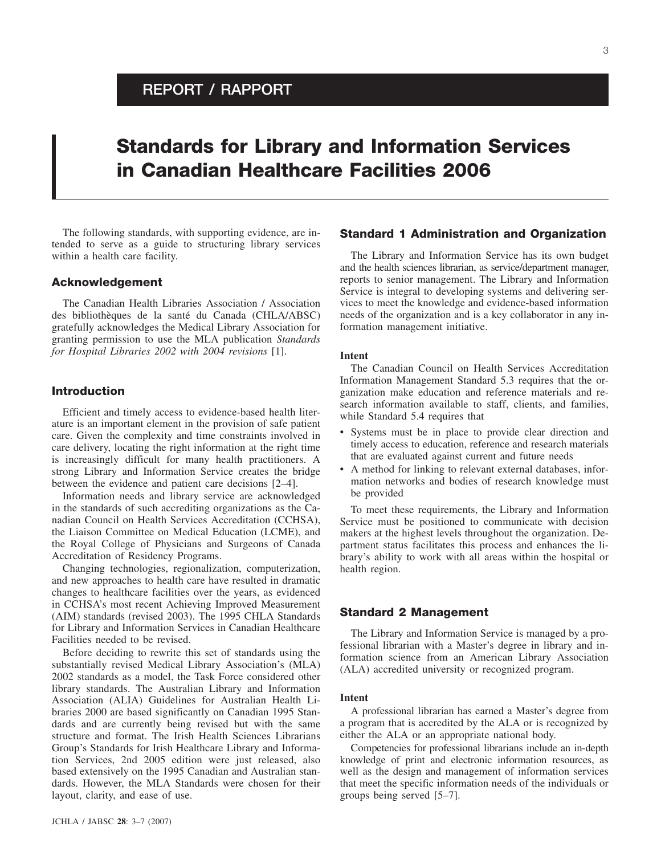## **REPORT / RAPPORT**

# **Standards for Library and Information Services in Canadian Healthcare Facilities 2006**

The following standards, with supporting evidence, are intended to serve as a guide to structuring library services within a health care facility.

## **Acknowledgement**

The Canadian Health Libraries Association / Association des bibliothèques de la santé du Canada (CHLA/ABSC) gratefully acknowledges the Medical Library Association for granting permission to use the MLA publication *Standards for Hospital Libraries 2002 with 2004 revisions* [1].

## **Introduction**

Efficient and timely access to evidence-based health literature is an important element in the provision of safe patient care. Given the complexity and time constraints involved in care delivery, locating the right information at the right time is increasingly difficult for many health practitioners. A strong Library and Information Service creates the bridge between the evidence and patient care decisions [2–4].

Information needs and library service are acknowledged in the standards of such accrediting organizations as the Canadian Council on Health Services Accreditation (CCHSA), the Liaison Committee on Medical Education (LCME), and the Royal College of Physicians and Surgeons of Canada Accreditation of Residency Programs.

Changing technologies, regionalization, computerization, and new approaches to health care have resulted in dramatic changes to healthcare facilities over the years, as evidenced in CCHSA's most recent Achieving Improved Measurement (AIM) standards (revised 2003). The 1995 CHLA Standards for Library and Information Services in Canadian Healthcare Facilities needed to be revised.

Before deciding to rewrite this set of standards using the substantially revised Medical Library Association's (MLA) 2002 standards as a model, the Task Force considered other library standards. The Australian Library and Information Association (ALIA) Guidelines for Australian Health Libraries 2000 are based significantly on Canadian 1995 Standards and are currently being revised but with the same structure and format. The Irish Health Sciences Librarians Group's Standards for Irish Healthcare Library and Information Services, 2nd 2005 edition were just released, also based extensively on the 1995 Canadian and Australian standards. However, the MLA Standards were chosen for their layout, clarity, and ease of use.

## **Standard 1 Administration and Organization**

The Library and Information Service has its own budget and the health sciences librarian, as service/department manager, reports to senior management. The Library and Information Service is integral to developing systems and delivering services to meet the knowledge and evidence-based information needs of the organization and is a key collaborator in any information management initiative.

## **Intent**

The Canadian Council on Health Services Accreditation Information Management Standard 5.3 requires that the organization make education and reference materials and research information available to staff, clients, and families, while Standard 5.4 requires that

- Systems must be in place to provide clear direction and timely access to education, reference and research materials that are evaluated against current and future needs
- A method for linking to relevant external databases, information networks and bodies of research knowledge must be provided

To meet these requirements, the Library and Information Service must be positioned to communicate with decision makers at the highest levels throughout the organization. Department status facilitates this process and enhances the library's ability to work with all areas within the hospital or health region.

## **Standard 2 Management**

The Library and Information Service is managed by a professional librarian with a Master's degree in library and information science from an American Library Association (ALA) accredited university or recognized program.

#### **Intent**

A professional librarian has earned a Master's degree from a program that is accredited by the ALA or is recognized by either the ALA or an appropriate national body.

Competencies for professional librarians include an in-depth knowledge of print and electronic information resources, as well as the design and management of information services that meet the specific information needs of the individuals or groups being served [5–7].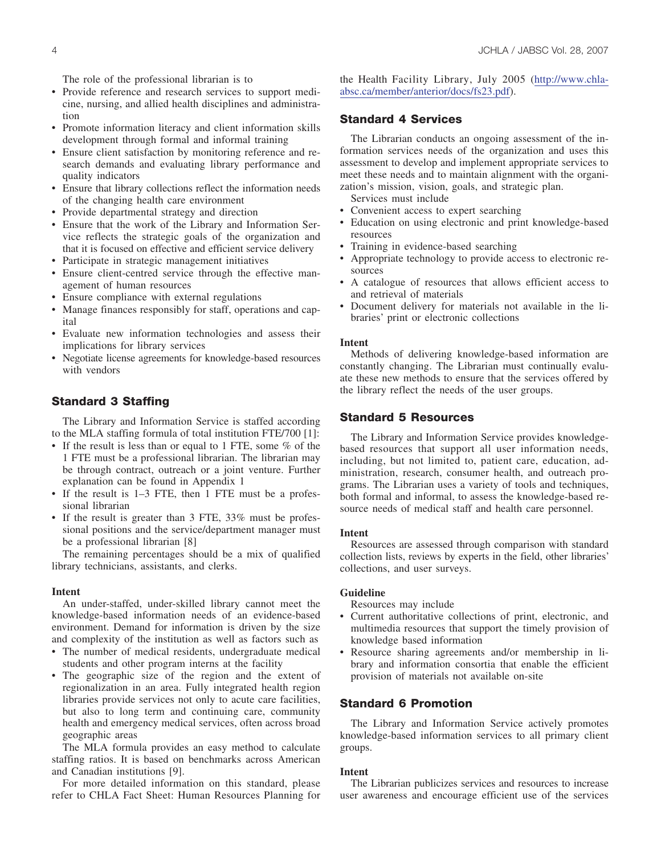The role of the professional librarian is to

- Provide reference and research services to support medicine, nursing, and allied health disciplines and administration
- Promote information literacy and client information skills development through formal and informal training
- Ensure client satisfaction by monitoring reference and research demands and evaluating library performance and quality indicators
- Ensure that library collections reflect the information needs of the changing health care environment
- Provide departmental strategy and direction
- Ensure that the work of the Library and Information Service reflects the strategic goals of the organization and that it is focused on effective and efficient service delivery
- Participate in strategic management initiatives
- Ensure client-centred service through the effective management of human resources
- Ensure compliance with external regulations
- Manage finances responsibly for staff, operations and capital
- Evaluate new information technologies and assess their implications for library services
- Negotiate license agreements for knowledge-based resources with vendors

## **Standard 3 Staffing**

The Library and Information Service is staffed according to the MLA staffing formula of total institution FTE/700 [1]:

- If the result is less than or equal to 1 FTE, some  $%$  of the 1 FTE must be a professional librarian. The librarian may be through contract, outreach or a joint venture. Further explanation can be found in Appendix 1
- If the result is 1–3 FTE, then 1 FTE must be a professional librarian
- If the result is greater than  $3$  FTE,  $33\%$  must be professional positions and the service/department manager must be a professional librarian [8]

The remaining percentages should be a mix of qualified library technicians, assistants, and clerks.

#### **Intent**

An under-staffed, under-skilled library cannot meet the knowledge-based information needs of an evidence-based environment. Demand for information is driven by the size and complexity of the institution as well as factors such as

- The number of medical residents, undergraduate medical students and other program interns at the facility
- The geographic size of the region and the extent of regionalization in an area. Fully integrated health region libraries provide services not only to acute care facilities, but also to long term and continuing care, community health and emergency medical services, often across broad geographic areas

The MLA formula provides an easy method to calculate staffing ratios. It is based on benchmarks across American and Canadian institutions [9].

For more detailed information on this standard, please refer to CHLA Fact Sheet: Human Resources Planning for the Health [Facility Library, July 2005 \(http://www.chla](http://www.chla-absc.ca/member/anterior/docs/fs23.pdf)absc.ca/member/anterior/docs/fs23.pdf).

## **Standard 4 Services**

The Librarian conducts an ongoing assessment of the information services needs of the organization and uses this assessment to develop and implement appropriate services to meet these needs and to maintain alignment with the organization's mission, vision, goals, and strategic plan.

Services must include

- Convenient access to expert searching
- Education on using electronic and print knowledge-based resources
- Training in evidence-based searching
- Appropriate technology to provide access to electronic resources
- A catalogue of resources that allows efficient access to and retrieval of materials
- Document delivery for materials not available in the libraries' print or electronic collections

#### **Intent**

Methods of delivering knowledge-based information are constantly changing. The Librarian must continually evaluate these new methods to ensure that the services offered by the library reflect the needs of the user groups.

## **Standard 5 Resources**

The Library and Information Service provides knowledgebased resources that support all user information needs, including, but not limited to, patient care, education, administration, research, consumer health, and outreach programs. The Librarian uses a variety of tools and techniques, both formal and informal, to assess the knowledge-based resource needs of medical staff and health care personnel.

## **Intent**

Resources are assessed through comparison with standard collection lists, reviews by experts in the field, other libraries' collections, and user surveys.

## **Guideline**

Resources may include

- Current authoritative collections of print, electronic, and multimedia resources that support the timely provision of knowledge based information
- Resource sharing agreements and/or membership in library and information consortia that enable the efficient provision of materials not available on-site

## **Standard 6 Promotion**

The Library and Information Service actively promotes knowledge-based information services to all primary client groups.

## **Intent**

The Librarian publicizes services and resources to increase user awareness and encourage efficient use of the services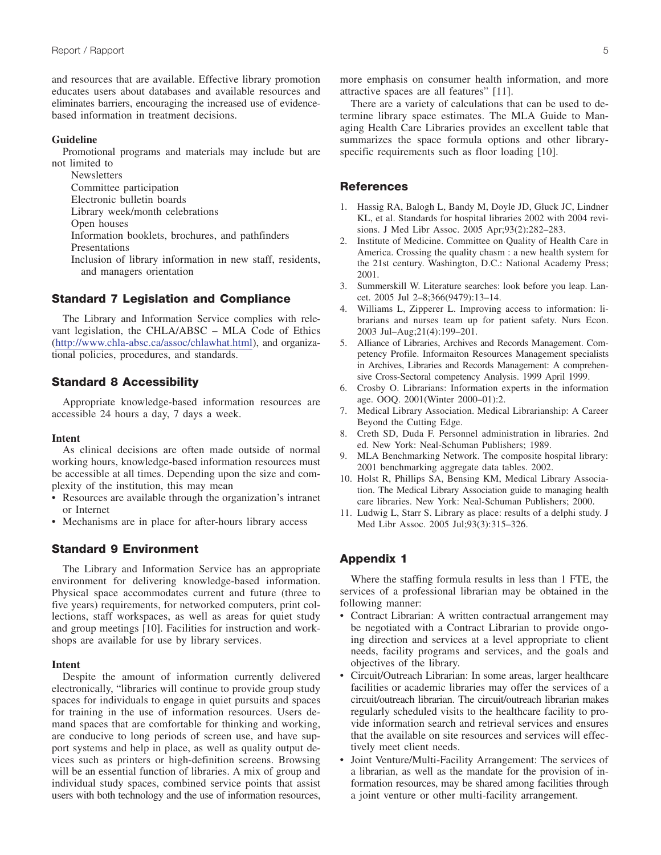and resources that are available. Effective library promotion educates users about databases and available resources and eliminates barriers, encouraging the increased use of evidencebased information in treatment decisions.

#### **Guideline**

Promotional programs and materials may include but are not limited to

**Newsletters** 

Committee participation

Electronic bulletin boards

Library week/month celebrations

Open houses

Information booklets, brochures, and pathfinders

Presentations

Inclusion of library information in new staff, residents, and managers orientation

## **Standard 7 Legislation and Compliance**

The Library and Information Service complies with relevant legislation, the CHLA/ABSC – MLA Code of Ethics [\(http://www.chla-absc.ca/assoc/chlawhat.html](http://www.chla-absc.ca/assoc/chlawhat.html)), and organizational policies, procedures, and standards.

## **Standard 8 Accessibility**

Appropriate knowledge-based information resources are accessible 24 hours a day, 7 days a week.

#### **Intent**

As clinical decisions are often made outside of normal working hours, knowledge-based information resources must be accessible at all times. Depending upon the size and complexity of the institution, this may mean

- Resources are available through the organization's intranet or Internet
- Mechanisms are in place for after-hours library access

## **Standard 9 Environment**

The Library and Information Service has an appropriate environment for delivering knowledge-based information. Physical space accommodates current and future (three to five years) requirements, for networked computers, print collections, staff workspaces, as well as areas for quiet study and group meetings [10]. Facilities for instruction and workshops are available for use by library services.

#### **Intent**

Despite the amount of information currently delivered electronically, "libraries will continue to provide group study spaces for individuals to engage in quiet pursuits and spaces for training in the use of information resources. Users demand spaces that are comfortable for thinking and working, are conducive to long periods of screen use, and have support systems and help in place, as well as quality output devices such as printers or high-definition screens. Browsing will be an essential function of libraries. A mix of group and individual study spaces, combined service points that assist users with both technology and the use of information resources, more emphasis on consumer health information, and more attractive spaces are all features" [11].

There are a variety of calculations that can be used to determine library space estimates. The MLA Guide to Managing Health Care Libraries provides an excellent table that summarizes the space formula options and other libraryspecific requirements such as floor loading [10].

#### **References**

- 1. Hassig RA, Balogh L, Bandy M, Doyle JD, Gluck JC, Lindner KL, et al. Standards for hospital libraries 2002 with 2004 revisions. J Med Libr Assoc. 2005 Apr;93(2):282–283.
- 2. Institute of Medicine. Committee on Quality of Health Care in America. Crossing the quality chasm : a new health system for the 21st century. Washington, D.C.: National Academy Press; 2001.
- 3. Summerskill W. Literature searches: look before you leap. Lancet. 2005 Jul 2–8;366(9479):13–14.
- 4. Williams L, Zipperer L. Improving access to information: librarians and nurses team up for patient safety. Nurs Econ. 2003 Jul–Aug;21(4):199–201.
- 5. Alliance of Libraries, Archives and Records Management. Competency Profile. Informaiton Resources Management specialists in Archives, Libraries and Records Management: A comprehensive Cross-Sectoral competency Analysis. 1999 April 1999.
- 6. Crosby O. Librarians: Information experts in the information age. OOQ. 2001(Winter 2000–01):2.
- 7. Medical Library Association. Medical Librarianship: A Career Beyond the Cutting Edge.
- 8. Creth SD, Duda F. Personnel administration in libraries. 2nd ed. New York: Neal-Schuman Publishers; 1989.
- 9. MLA Benchmarking Network. The composite hospital library: 2001 benchmarking aggregate data tables. 2002.
- 10. Holst R, Phillips SA, Bensing KM, Medical Library Association. The Medical Library Association guide to managing health care libraries. New York: Neal-Schuman Publishers; 2000.
- 11. Ludwig L, Starr S. Library as place: results of a delphi study. J Med Libr Assoc. 2005 Jul;93(3):315–326.

## **Appendix 1**

Where the staffing formula results in less than 1 FTE, the services of a professional librarian may be obtained in the following manner:

- Contract Librarian: A written contractual arrangement may be negotiated with a Contract Librarian to provide ongoing direction and services at a level appropriate to client needs, facility programs and services, and the goals and objectives of the library.
- Circuit/Outreach Librarian: In some areas, larger healthcare facilities or academic libraries may offer the services of a circuit/outreach librarian. The circuit/outreach librarian makes regularly scheduled visits to the healthcare facility to provide information search and retrieval services and ensures that the available on site resources and services will effectively meet client needs.
- Joint Venture/Multi-Facility Arrangement: The services of a librarian, as well as the mandate for the provision of information resources, may be shared among facilities through a joint venture or other multi-facility arrangement.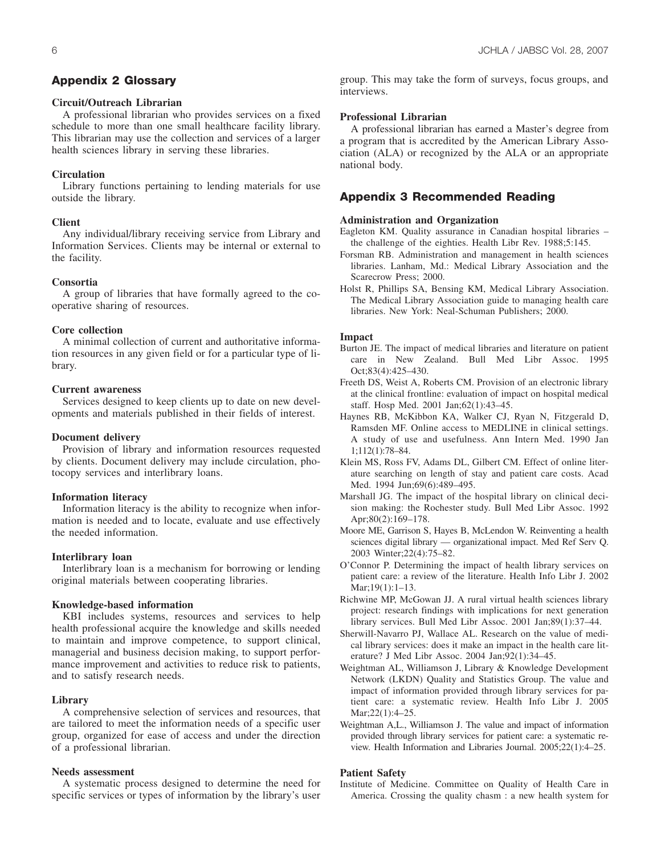## **Appendix 2 Glossary**

## **Circuit/Outreach Librarian**

A professional librarian who provides services on a fixed schedule to more than one small healthcare facility library. This librarian may use the collection and services of a larger health sciences library in serving these libraries.

## **Circulation**

Library functions pertaining to lending materials for use outside the library.

#### **Client**

Any individual/library receiving service from Library and Information Services. Clients may be internal or external to the facility.

## **Consortia**

A group of libraries that have formally agreed to the cooperative sharing of resources.

## **Core collection**

A minimal collection of current and authoritative information resources in any given field or for a particular type of library.

## **Current awareness**

Services designed to keep clients up to date on new developments and materials published in their fields of interest.

## **Document delivery**

Provision of library and information resources requested by clients. Document delivery may include circulation, photocopy services and interlibrary loans.

## **Information literacy**

Information literacy is the ability to recognize when information is needed and to locate, evaluate and use effectively the needed information.

## **Interlibrary loan**

Interlibrary loan is a mechanism for borrowing or lending original materials between cooperating libraries.

## **Knowledge-based information**

KBI includes systems, resources and services to help health professional acquire the knowledge and skills needed to maintain and improve competence, to support clinical, managerial and business decision making, to support performance improvement and activities to reduce risk to patients, and to satisfy research needs.

#### **Library**

A comprehensive selection of services and resources, that are tailored to meet the information needs of a specific user group, organized for ease of access and under the direction of a professional librarian.

## **Needs assessment**

A systematic process designed to determine the need for specific services or types of information by the library's user group. This may take the form of surveys, focus groups, and interviews.

## **Professional Librarian**

A professional librarian has earned a Master's degree from a program that is accredited by the American Library Association (ALA) or recognized by the ALA or an appropriate national body.

## **Appendix 3 Recommended Reading**

## **Administration and Organization**

- Eagleton KM. Quality assurance in Canadian hospital libraries the challenge of the eighties. Health Libr Rev. 1988;5:145.
- Forsman RB. Administration and management in health sciences libraries. Lanham, Md.: Medical Library Association and the Scarecrow Press; 2000.
- Holst R, Phillips SA, Bensing KM, Medical Library Association. The Medical Library Association guide to managing health care libraries. New York: Neal-Schuman Publishers; 2000.

## **Impact**

- Burton JE. The impact of medical libraries and literature on patient care in New Zealand. Bull Med Libr Assoc. 1995 Oct;83(4):425–430.
- Freeth DS, Weist A, Roberts CM. Provision of an electronic library at the clinical frontline: evaluation of impact on hospital medical staff. Hosp Med. 2001 Jan;62(1):43–45.
- Haynes RB, McKibbon KA, Walker CJ, Ryan N, Fitzgerald D, Ramsden MF. Online access to MEDLINE in clinical settings. A study of use and usefulness. Ann Intern Med. 1990 Jan 1;112(1):78–84.
- Klein MS, Ross FV, Adams DL, Gilbert CM. Effect of online literature searching on length of stay and patient care costs. Acad Med. 1994 Jun;69(6):489–495.
- Marshall JG. The impact of the hospital library on clinical decision making: the Rochester study. Bull Med Libr Assoc. 1992 Apr;80(2):169–178.
- Moore ME, Garrison S, Hayes B, McLendon W. Reinventing a health sciences digital library — organizational impact. Med Ref Serv Q. 2003 Winter;22(4):75–82.
- O'Connor P. Determining the impact of health library services on patient care: a review of the literature. Health Info Libr J. 2002 Mar;19(1):1–13.
- Richwine MP, McGowan JJ. A rural virtual health sciences library project: research findings with implications for next generation library services. Bull Med Libr Assoc. 2001 Jan;89(1):37–44.
- Sherwill-Navarro PJ, Wallace AL. Research on the value of medical library services: does it make an impact in the health care literature? J Med Libr Assoc. 2004 Jan;92(1):34–45.
- Weightman AL, Williamson J, Library & Knowledge Development Network (LKDN) Quality and Statistics Group. The value and impact of information provided through library services for patient care: a systematic review. Health Info Libr J. 2005 Mar;22(1):4–25.
- Weightman A,L., Williamson J. The value and impact of information provided through library services for patient care: a systematic review. Health Information and Libraries Journal. 2005;22(1):4–25.

### **Patient Safety**

Institute of Medicine. Committee on Quality of Health Care in America. Crossing the quality chasm : a new health system for